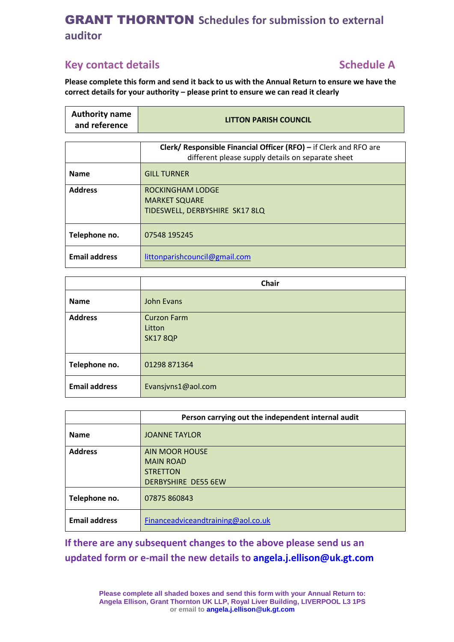## **Key contact details Schedule A**

**Please complete this form and send it back to us with the Annual Return to ensure we have the correct details for your authority – please print to ensure we can read it clearly**

| <b>Authority name</b><br>and reference | <b>LITTON PARISH COUNCIL</b>                                                                                           |
|----------------------------------------|------------------------------------------------------------------------------------------------------------------------|
|                                        |                                                                                                                        |
|                                        | Clerk/ Responsible Financial Officer (RFO) - if Clerk and RFO are<br>different please supply details on separate sheet |
| <b>Name</b>                            | <b>GILL TURNER</b>                                                                                                     |
| <b>Address</b>                         | <b>ROCKINGHAM LODGE</b><br><b>MARKET SQUARE</b><br>TIDESWELL, DERBYSHIRE SK17 8LQ                                      |
| Telephone no.                          | 07548 195245                                                                                                           |
| <b>Email address</b>                   | littonparishcouncil@gmail.com                                                                                          |

|                      | <b>Chair</b>                                    |
|----------------------|-------------------------------------------------|
| <b>Name</b>          | John Evans                                      |
| <b>Address</b>       | <b>Curzon Farm</b><br>Litton<br><b>SK17 8QP</b> |
| Telephone no.        | 01298 871364                                    |
| <b>Email address</b> | Evansjvns1@aol.com                              |

|                      | Person carrying out the independent internal audit |  |  |
|----------------------|----------------------------------------------------|--|--|
| <b>Name</b>          | <b>JOANNE TAYLOR</b>                               |  |  |
| <b>Address</b>       | <b>AIN MOOR HOUSE</b>                              |  |  |
|                      | <b>MAIN ROAD</b>                                   |  |  |
|                      | <b>STRETTON</b>                                    |  |  |
|                      | <b>DERBYSHIRE DE55 6EW</b>                         |  |  |
| Telephone no.        | 07875 860843                                       |  |  |
| <b>Email address</b> | Financeadviceandtraining@aol.co.uk                 |  |  |

**If there are any subsequent changes to the above please send us an updated form or e-mail the new details to [angela.j.ellison@uk.gt.com](mailto:angela.j.ellison@uk.gt.com)**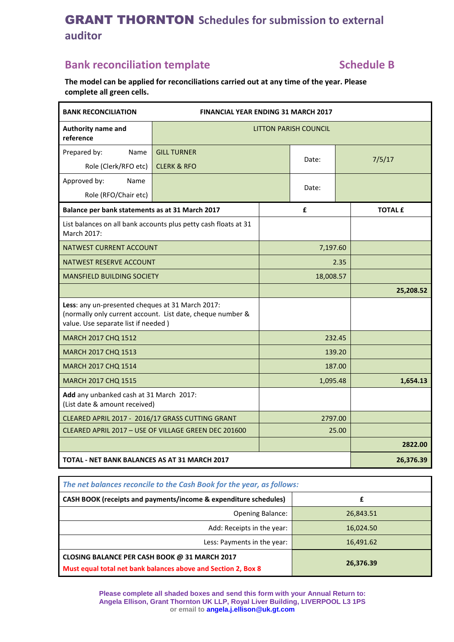# **Bank reconciliation template <b>Schedule B Schedule B**

**The model can be applied for reconciliations carried out at any time of the year. Please complete all green cells.**

| <b>BANK RECONCILIATION</b>                                                                                                                            | <b>FINANCIAL YEAR ENDING 31 MARCH 2017</b>                      |           |       |       |                |
|-------------------------------------------------------------------------------------------------------------------------------------------------------|-----------------------------------------------------------------|-----------|-------|-------|----------------|
| Authority name and<br>reference                                                                                                                       | <b>LITTON PARISH COUNCIL</b>                                    |           |       |       |                |
| Prepared by:<br>Name                                                                                                                                  | <b>GILL TURNER</b>                                              |           | Date: |       |                |
| Role (Clerk/RFO etc)                                                                                                                                  | <b>CLERK &amp; RFO</b>                                          |           |       |       | 7/5/17         |
| Approved by:<br>Name                                                                                                                                  |                                                                 |           | Date: |       |                |
| Role (RFO/Chair etc)                                                                                                                                  |                                                                 |           |       |       |                |
| Balance per bank statements as at 31 March 2017                                                                                                       |                                                                 |           | £     |       | <b>TOTAL £</b> |
| March 2017:                                                                                                                                           | List balances on all bank accounts plus petty cash floats at 31 |           |       |       |                |
| <b>NATWEST CURRENT ACCOUNT</b>                                                                                                                        |                                                                 | 7,197.60  |       |       |                |
| NATWEST RESERVE ACCOUNT                                                                                                                               |                                                                 | 2.35      |       |       |                |
| <b>MANSFIELD BUILDING SOCIETY</b>                                                                                                                     |                                                                 | 18,008.57 |       |       |                |
|                                                                                                                                                       |                                                                 |           |       |       | 25,208.52      |
| Less: any un-presented cheques at 31 March 2017:<br>(normally only current account. List date, cheque number &<br>value. Use separate list if needed) |                                                                 |           |       |       |                |
| MARCH 2017 CHQ 1512                                                                                                                                   |                                                                 | 232.45    |       |       |                |
| <b>MARCH 2017 CHQ 1513</b>                                                                                                                            |                                                                 | 139.20    |       |       |                |
| MARCH 2017 CHQ 1514                                                                                                                                   |                                                                 | 187.00    |       |       |                |
| <b>MARCH 2017 CHQ 1515</b>                                                                                                                            |                                                                 | 1,095.48  |       |       | 1,654.13       |
| Add any unbanked cash at 31 March 2017:<br>(List date & amount received)                                                                              |                                                                 |           |       |       |                |
| CLEARED APRIL 2017 - 2016/17 GRASS CUTTING GRANT                                                                                                      |                                                                 | 2797.00   |       |       |                |
| CLEARED APRIL 2017 - USE OF VILLAGE GREEN DEC 201600                                                                                                  |                                                                 |           |       | 25.00 |                |
|                                                                                                                                                       |                                                                 |           |       |       | 2822.00        |
| TOTAL - NET BANK BALANCES AS AT 31 MARCH 2017                                                                                                         |                                                                 |           |       |       | 26,376.39      |

| The net balances reconcile to the Cash Book for the year, as follows:                                          |           |  |
|----------------------------------------------------------------------------------------------------------------|-----------|--|
| CASH BOOK (receipts and payments/income & expenditure schedules)                                               |           |  |
| <b>Opening Balance:</b>                                                                                        | 26,843.51 |  |
| Add: Receipts in the year:                                                                                     | 16,024.50 |  |
| Less: Payments in the year:                                                                                    | 16,491.62 |  |
| CLOSING BALANCE PER CASH BOOK @ 31 MARCH 2017<br>Must equal total net bank balances above and Section 2, Box 8 | 26,376.39 |  |

**Please complete all shaded boxes and send this form with your Annual Return to: Angela Ellison, Grant Thornton UK LLP, Royal Liver Building, LIVERPOOL L3 1PS or email to [angela.j.ellison@uk.gt.com](mailto:angela.j.ellison@uk.gt.com)**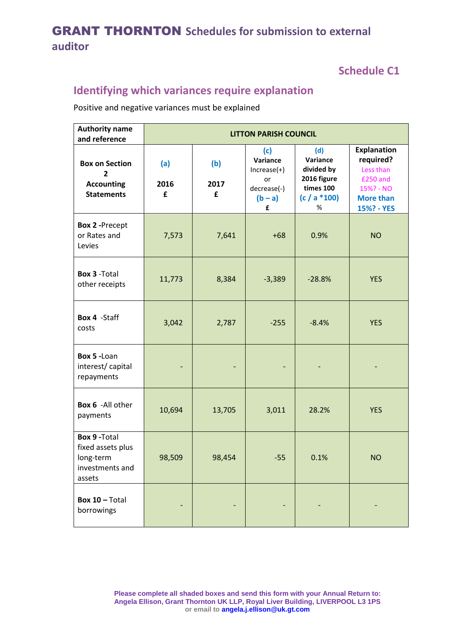## **Schedule C1**

# **Identifying which variances require explanation**

Positive and negative variances must be explained

| <b>Authority name</b><br>and reference                                              | <b>LITTON PARISH COUNCIL</b> |                  |                                                                         |                                                                                   |                                                                                                         |
|-------------------------------------------------------------------------------------|------------------------------|------------------|-------------------------------------------------------------------------|-----------------------------------------------------------------------------------|---------------------------------------------------------------------------------------------------------|
| <b>Box on Section</b><br>2<br><b>Accounting</b><br><b>Statements</b>                | (a)<br>2016<br>£             | (b)<br>2017<br>£ | (c)<br>Variance<br>$Increase(+)$<br>or<br>decrease(-)<br>$(b - a)$<br>£ | (d)<br>Variance<br>divided by<br>2016 figure<br>times 100<br>$(c / a * 100)$<br>% | <b>Explanation</b><br>required?<br>Less than<br>£250 and<br>15%? - NO<br><b>More than</b><br>15%? - YES |
| <b>Box 2 -Precept</b><br>or Rates and<br>Levies                                     | 7,573                        | 7,641            | $+68$                                                                   | 0.9%                                                                              | <b>NO</b>                                                                                               |
| <b>Box 3 - Total</b><br>other receipts                                              | 11,773                       | 8,384            | $-3,389$                                                                | $-28.8%$                                                                          | <b>YES</b>                                                                                              |
| Box 4 - Staff<br>costs                                                              | 3,042                        | 2,787            | $-255$                                                                  | $-8.4%$                                                                           | <b>YES</b>                                                                                              |
| Box 5 - Loan<br>interest/capital<br>repayments                                      |                              |                  |                                                                         |                                                                                   |                                                                                                         |
| Box 6 -All other<br>payments                                                        | 10,694                       | 13,705           | 3,011                                                                   | 28.2%                                                                             | <b>YES</b>                                                                                              |
| <b>Box 9 - Total</b><br>fixed assets plus<br>long-term<br>investments and<br>assets | 98,509                       | 98,454           | $-55$                                                                   | 0.1%                                                                              | <b>NO</b>                                                                                               |
| Box 10 - Total<br>borrowings                                                        |                              |                  |                                                                         |                                                                                   |                                                                                                         |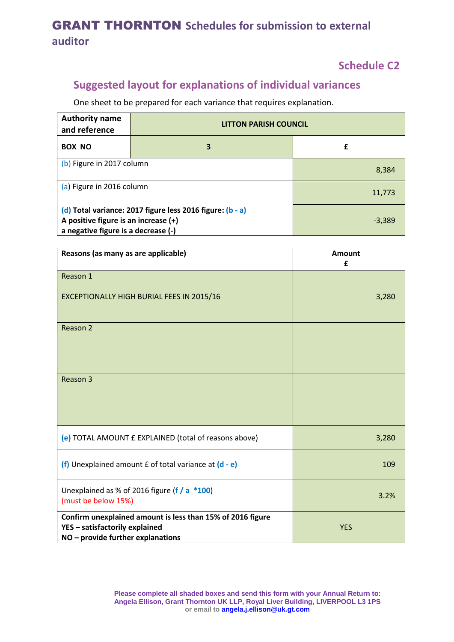## **Schedule C2**

# **Suggested layout for explanations of individual variances**

One sheet to be prepared for each variance that requires explanation.

| <b>Authority name</b><br>and reference                                                                                                   | <b>LITTON PARISH COUNCIL</b> |          |  |
|------------------------------------------------------------------------------------------------------------------------------------------|------------------------------|----------|--|
| <b>BOX NO</b>                                                                                                                            | 3                            | £        |  |
| (b) Figure in 2017 column                                                                                                                |                              | 8,384    |  |
| (a) Figure in 2016 column                                                                                                                |                              | 11,773   |  |
| (d) Total variance: 2017 figure less 2016 figure: (b - a)<br>A positive figure is an increase (+)<br>a negative figure is a decrease (-) |                              | $-3,389$ |  |

| Reasons (as many as are applicable)                                                                                               | Amount<br>£ |
|-----------------------------------------------------------------------------------------------------------------------------------|-------------|
| Reason 1                                                                                                                          |             |
| <b>EXCEPTIONALLY HIGH BURIAL FEES IN 2015/16</b>                                                                                  | 3,280       |
| Reason 2                                                                                                                          |             |
| Reason 3                                                                                                                          |             |
| (e) TOTAL AMOUNT £ EXPLAINED (total of reasons above)                                                                             | 3,280       |
| (f) Unexplained amount $f$ of total variance at $(d - e)$                                                                         | 109         |
| Unexplained as % of 2016 figure ( $f / a * 100$ )<br>(must be below 15%)                                                          | 3.2%        |
| Confirm unexplained amount is less than 15% of 2016 figure<br>YES - satisfactorily explained<br>NO - provide further explanations | <b>YES</b>  |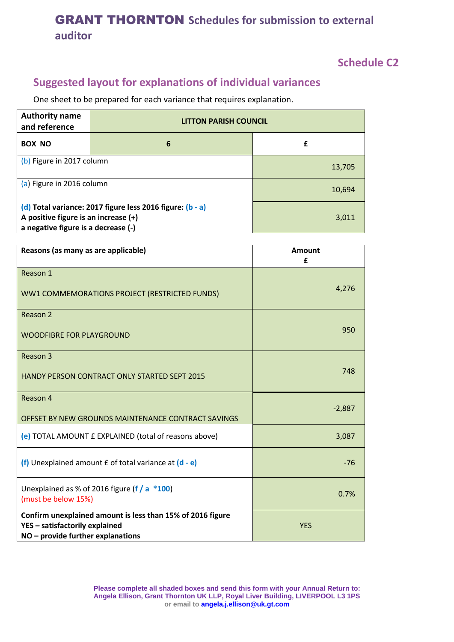#### **Schedule C2**

# **Suggested layout for explanations of individual variances**

One sheet to be prepared for each variance that requires explanation.

| <b>Authority name</b><br>and reference                                                                                                     | <b>LITTON PARISH COUNCIL</b> |        |  |
|--------------------------------------------------------------------------------------------------------------------------------------------|------------------------------|--------|--|
| <b>BOX NO</b>                                                                                                                              | 6                            | £      |  |
| (b) Figure in 2017 column                                                                                                                  |                              | 13,705 |  |
| (a) Figure in 2016 column                                                                                                                  |                              | 10,694 |  |
| (d) Total variance: 2017 figure less 2016 figure: (b - a)<br>A positive figure is an increase $(+)$<br>a negative figure is a decrease (-) |                              | 3,011  |  |

| Reasons (as many as are applicable)                                                                                               | Amount<br>£ |
|-----------------------------------------------------------------------------------------------------------------------------------|-------------|
| Reason 1                                                                                                                          |             |
| WW1 COMMEMORATIONS PROJECT (RESTRICTED FUNDS)                                                                                     | 4,276       |
| Reason 2                                                                                                                          |             |
| <b>WOODFIBRE FOR PLAYGROUND</b>                                                                                                   | 950         |
| Reason 3                                                                                                                          |             |
| <b>HANDY PERSON CONTRACT ONLY STARTED SEPT 2015</b>                                                                               | 748         |
| Reason 4                                                                                                                          |             |
| OFFSET BY NEW GROUNDS MAINTENANCE CONTRACT SAVINGS                                                                                | $-2,887$    |
| (e) TOTAL AMOUNT £ EXPLAINED (total of reasons above)                                                                             | 3,087       |
| (f) Unexplained amount $f$ of total variance at $(d - e)$                                                                         | $-76$       |
| Unexplained as % of 2016 figure (f / a $*100$ )<br>(must be below 15%)                                                            | 0.7%        |
| Confirm unexplained amount is less than 15% of 2016 figure<br>YES - satisfactorily explained<br>NO - provide further explanations | <b>YES</b>  |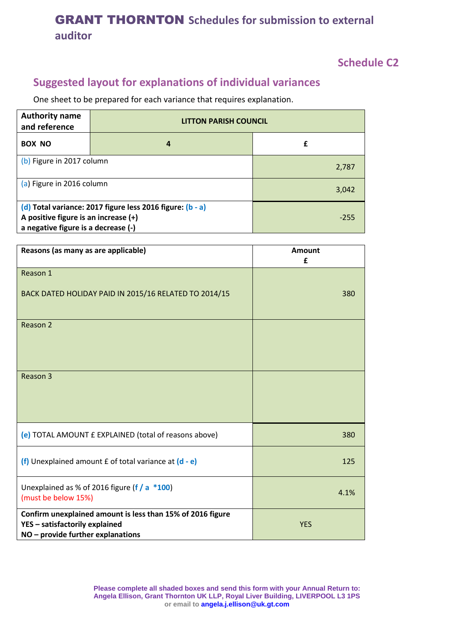#### **Schedule C2**

# **Suggested layout for explanations of individual variances**

One sheet to be prepared for each variance that requires explanation.

| <b>Authority name</b><br>and reference                                                                                                   | <b>LITTON PARISH COUNCIL</b> |        |  |
|------------------------------------------------------------------------------------------------------------------------------------------|------------------------------|--------|--|
| <b>BOX NO</b>                                                                                                                            | 4                            | £      |  |
| (b) Figure in 2017 column                                                                                                                |                              | 2,787  |  |
| (a) Figure in 2016 column                                                                                                                |                              | 3,042  |  |
| (d) Total variance: 2017 figure less 2016 figure: (b - a)<br>A positive figure is an increase (+)<br>a negative figure is a decrease (-) |                              | $-255$ |  |

| Reasons (as many as are applicable)                                                                                                 | <b>Amount</b><br>£ |
|-------------------------------------------------------------------------------------------------------------------------------------|--------------------|
| Reason 1                                                                                                                            |                    |
| BACK DATED HOLIDAY PAID IN 2015/16 RELATED TO 2014/15                                                                               | 380                |
| Reason 2                                                                                                                            |                    |
| Reason 3                                                                                                                            |                    |
| (e) TOTAL AMOUNT £ EXPLAINED (total of reasons above)                                                                               | 380                |
| (f) Unexplained amount £ of total variance at (d - e)                                                                               | 125                |
| Unexplained as % of 2016 figure (f / $a *100$ )<br>(must be below 15%)                                                              | 4.1%               |
| Confirm unexplained amount is less than 15% of 2016 figure<br>YES - satisfactorily explained<br>$NO$ – provide further explanations | <b>YES</b>         |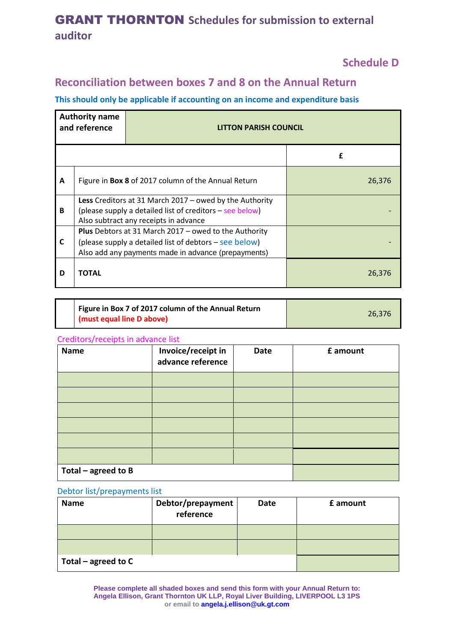#### **Schedule D**

## **Reconciliation between boxes 7 and 8 on the Annual Return**

#### **This should only be applicable if accounting on an income and expenditure basis**

| <b>Authority name</b><br>and reference |                                                                                                                                                                               | <b>LITTON PARISH COUNCIL</b> |        |
|----------------------------------------|-------------------------------------------------------------------------------------------------------------------------------------------------------------------------------|------------------------------|--------|
|                                        |                                                                                                                                                                               |                              | f      |
| A                                      | Figure in Box 8 of 2017 column of the Annual Return                                                                                                                           |                              | 26,376 |
| B                                      | Less Creditors at 31 March 2017 - owed by the Authority<br>(please supply a detailed list of creditors – see below)<br>Also subtract any receipts in advance                  |                              |        |
| C                                      | <b>Plus</b> Debtors at 31 March 2017 – owed to the Authority<br>(please supply a detailed list of debtors – see below)<br>Also add any payments made in advance (prepayments) |                              |        |
| D                                      | <b>TOTAL</b>                                                                                                                                                                  |                              | 26.376 |

| Figure in Box 7 of 2017 column of the Annual Return |        |
|-----------------------------------------------------|--------|
| (must equal line D above)                           | 26.376 |

#### Creditors/receipts in advance list

| <b>Name</b>           | Invoice/receipt in<br>advance reference | Date | £ amount |
|-----------------------|-----------------------------------------|------|----------|
|                       |                                         |      |          |
|                       |                                         |      |          |
|                       |                                         |      |          |
|                       |                                         |      |          |
|                       |                                         |      |          |
|                       |                                         |      |          |
| Total $-$ agreed to B |                                         |      |          |

#### Debtor list/prepayments list

| <b>Name</b>         | Debtor/prepayment<br>reference | Date | £ amount |
|---------------------|--------------------------------|------|----------|
|                     |                                |      |          |
|                     |                                |      |          |
| Total - agreed to C |                                |      |          |

**Please complete all shaded boxes and send this form with your Annual Return to: Angela Ellison, Grant Thornton UK LLP, Royal Liver Building, LIVERPOOL L3 1PS or email to [angela.j.ellison@uk.gt.com](mailto:angela.j.ellison@uk.gt.com)**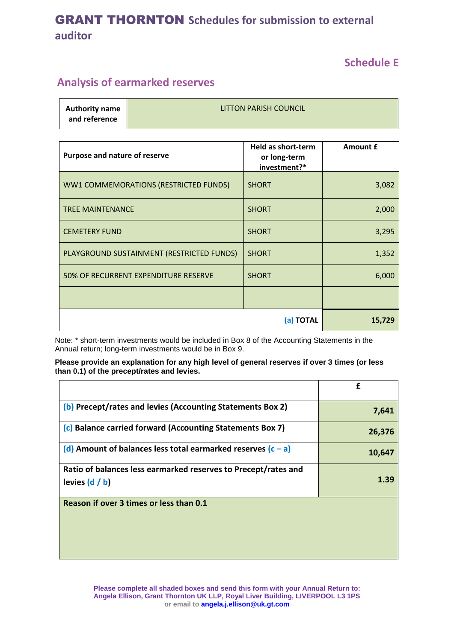#### **Schedule E**

## **Analysis of earmarked reserves**

| <b>Authority name</b><br>and reference | <b>LITTON PARISH COUNCIL</b> |
|----------------------------------------|------------------------------|
|                                        |                              |
|                                        |                              |

| Purpose and nature of reserve             | <b>Held as short-term</b><br>or long-term<br>investment?* | Amount £ |
|-------------------------------------------|-----------------------------------------------------------|----------|
| WW1 COMMEMORATIONS (RESTRICTED FUNDS)     | <b>SHORT</b>                                              | 3,082    |
| <b>TREE MAINTENANCE</b>                   | <b>SHORT</b>                                              | 2,000    |
| <b>CEMETERY FUND</b>                      | <b>SHORT</b>                                              | 3,295    |
| PLAYGROUND SUSTAINMENT (RESTRICTED FUNDS) | <b>SHORT</b>                                              | 1,352    |
| 50% OF RECURRENT EXPENDITURE RESERVE      | <b>SHORT</b>                                              | 6,000    |
|                                           |                                                           |          |
|                                           | (a) TOTAL                                                 | 15,729   |

Note: \* short-term investments would be included in Box 8 of the Accounting Statements in the Annual return; long-term investments would be in Box 9.

#### **Please provide an explanation for any high level of general reserves if over 3 times (or less than 0.1) of the precept/rates and levies.**

|                                                                                    | f      |
|------------------------------------------------------------------------------------|--------|
| (b) Precept/rates and levies (Accounting Statements Box 2)                         | 7,641  |
| (c) Balance carried forward (Accounting Statements Box 7)                          | 26,376 |
| (d) Amount of balances less total earmarked reserves $(c - a)$                     | 10,647 |
| Ratio of balances less earmarked reserves to Precept/rates and<br>levies $(d / b)$ | 1.39   |
| Reason if over 3 times or less than 0.1                                            |        |

**Please complete all shaded boxes and send this form with your Annual Return to: Angela Ellison, Grant Thornton UK LLP, Royal Liver Building, LIVERPOOL L3 1PS or email to [angela.j.ellison@uk.gt.com](mailto:angela.j.ellison@uk.gt.com)**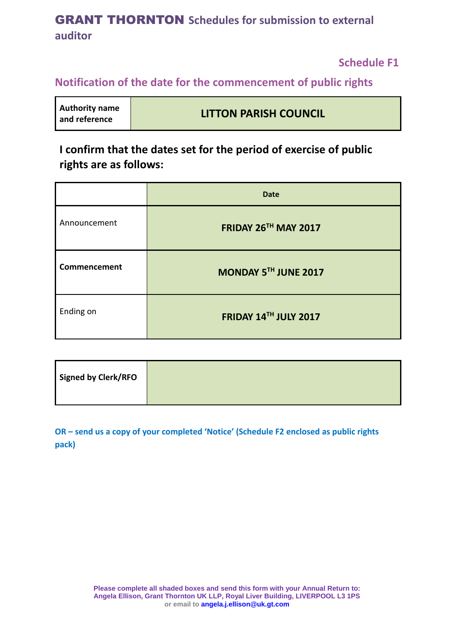**Schedule F1**

#### **Notification of the date for the commencement of public rights**

| <b>Authority name</b><br>and reference | <b>LITTON PARISH COUNCIL</b> |
|----------------------------------------|------------------------------|
|----------------------------------------|------------------------------|

**I confirm that the dates set for the period of exercise of public rights are as follows:** 

|              | <b>Date</b>                 |
|--------------|-----------------------------|
| Announcement | <b>FRIDAY 26TH MAY 2017</b> |
| Commencement | MONDAY 5TH JUNE 2017        |
| Ending on    | FRIDAY 14TH JULY 2017       |

| Signed by Clerk/RFO |  |
|---------------------|--|
|                     |  |

**OR – send us a copy of your completed 'Notice' (Schedule F2 enclosed as public rights pack)**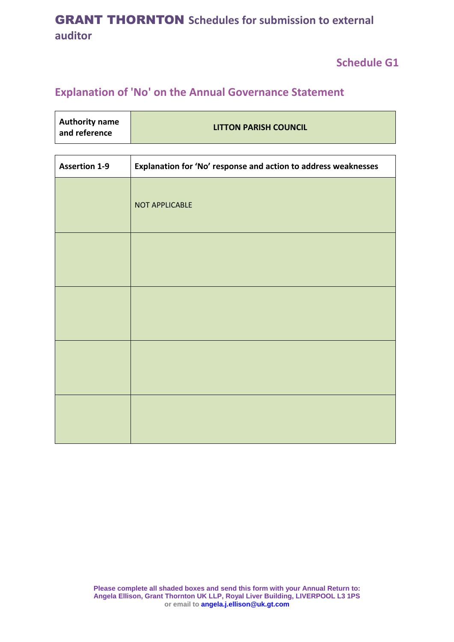**Schedule G1**

# **Explanation of 'No' on the Annual Governance Statement**

| <b>Authority name</b><br>and reference | <b>LITTON PARISH COUNCIL</b> |
|----------------------------------------|------------------------------|
|                                        |                              |

| <b>Assertion 1-9</b> | Explanation for 'No' response and action to address weaknesses |  |
|----------------------|----------------------------------------------------------------|--|
|                      | NOT APPLICABLE                                                 |  |
|                      |                                                                |  |
|                      |                                                                |  |
|                      |                                                                |  |
|                      |                                                                |  |